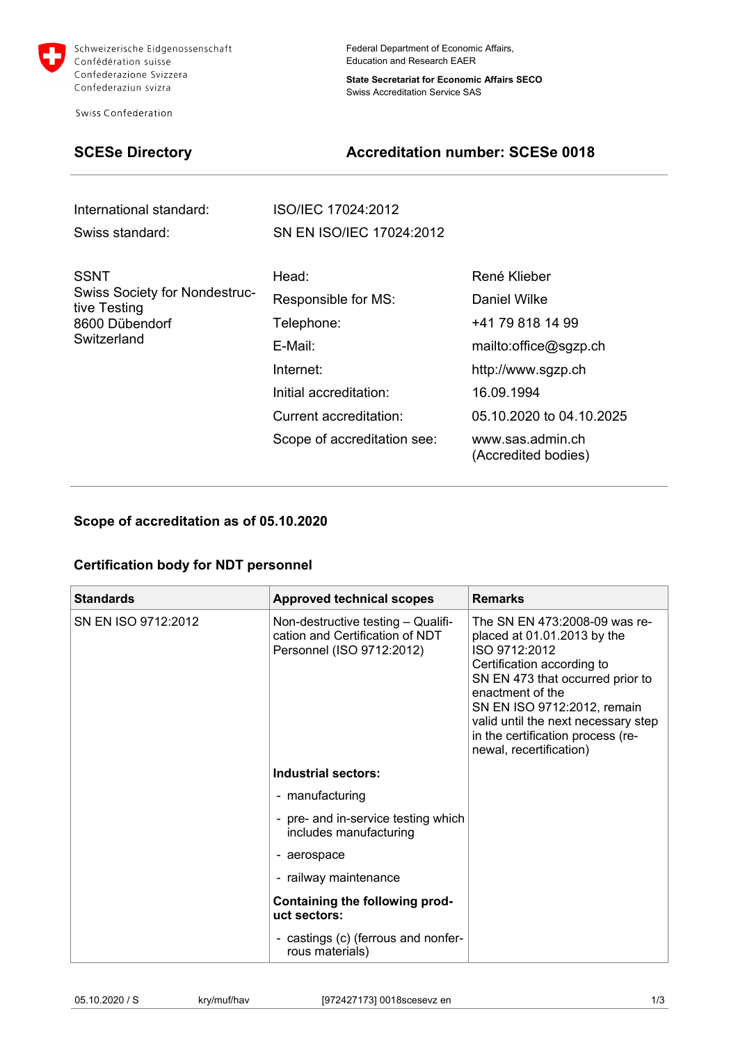

Schweizerische Eidgenossenschaft Confédération suisse Confederazione Svizzera Confederaziun svizra

Swiss Confederation

Federal Department of Economic Affairs, Education and Research EAER

**State Secretariat for Economic Affairs SECO**  Swiss Accreditation Service SAS

# **SCESe Directory Constraining Accreditation number: SCESe 0018**

| International standard: | ISO/IEC 17024:2012       |
|-------------------------|--------------------------|
| Swiss standard:         | SN EN ISO/IEC 17024:2012 |

| <b>SSNT</b><br><b>Swiss Society for Nondestruc-</b><br>tive Testing<br>8600 Dübendorf | Head:                       | René Klieber                            |
|---------------------------------------------------------------------------------------|-----------------------------|-----------------------------------------|
|                                                                                       | Responsible for MS:         | Daniel Wilke                            |
|                                                                                       | Telephone:                  | +41 79 818 14 99                        |
| Switzerland                                                                           | E-Mail:                     | mailto:office@sgzp.ch                   |
|                                                                                       | Internet:                   | http://www.sgzp.ch                      |
|                                                                                       | Initial accreditation:      | 16.09.1994                              |
|                                                                                       | Current accreditation:      | 05.10.2020 to 04.10.2025                |
|                                                                                       | Scope of accreditation see: | www.sas.admin.ch<br>(Accredited bodies) |

### **Scope of accreditation as of 05.10.2020**

## **Certification body for NDT personnel**

| <b>Standards</b>    | <b>Approved technical scopes</b>                                                                   | <b>Remarks</b>                                                                                                                                                                                                                                                                                            |
|---------------------|----------------------------------------------------------------------------------------------------|-----------------------------------------------------------------------------------------------------------------------------------------------------------------------------------------------------------------------------------------------------------------------------------------------------------|
| SN EN ISO 9712:2012 | Non-destructive testing - Qualifi-<br>cation and Certification of NDT<br>Personnel (ISO 9712:2012) | The SN EN 473:2008-09 was re-<br>placed at 01.01.2013 by the<br>ISO 9712:2012<br>Certification according to<br>SN EN 473 that occurred prior to<br>enactment of the<br>SN EN ISO 9712:2012, remain<br>valid until the next necessary step<br>in the certification process (re-<br>newal, recertification) |
|                     | Industrial sectors:                                                                                |                                                                                                                                                                                                                                                                                                           |
|                     | - manufacturing                                                                                    |                                                                                                                                                                                                                                                                                                           |
|                     | - pre- and in-service testing which<br>includes manufacturing                                      |                                                                                                                                                                                                                                                                                                           |
|                     | - aerospace                                                                                        |                                                                                                                                                                                                                                                                                                           |
|                     | - railway maintenance                                                                              |                                                                                                                                                                                                                                                                                                           |
|                     | Containing the following prod-<br>uct sectors:                                                     |                                                                                                                                                                                                                                                                                                           |
|                     | - castings (c) (ferrous and nonfer-<br>rous materials)                                             |                                                                                                                                                                                                                                                                                                           |

| 05.10.2020 / S | kry/muf/hav | [972427173] 0018 scese vz en | $\overline{10}$ |
|----------------|-------------|------------------------------|-----------------|
| .              |             |                              |                 |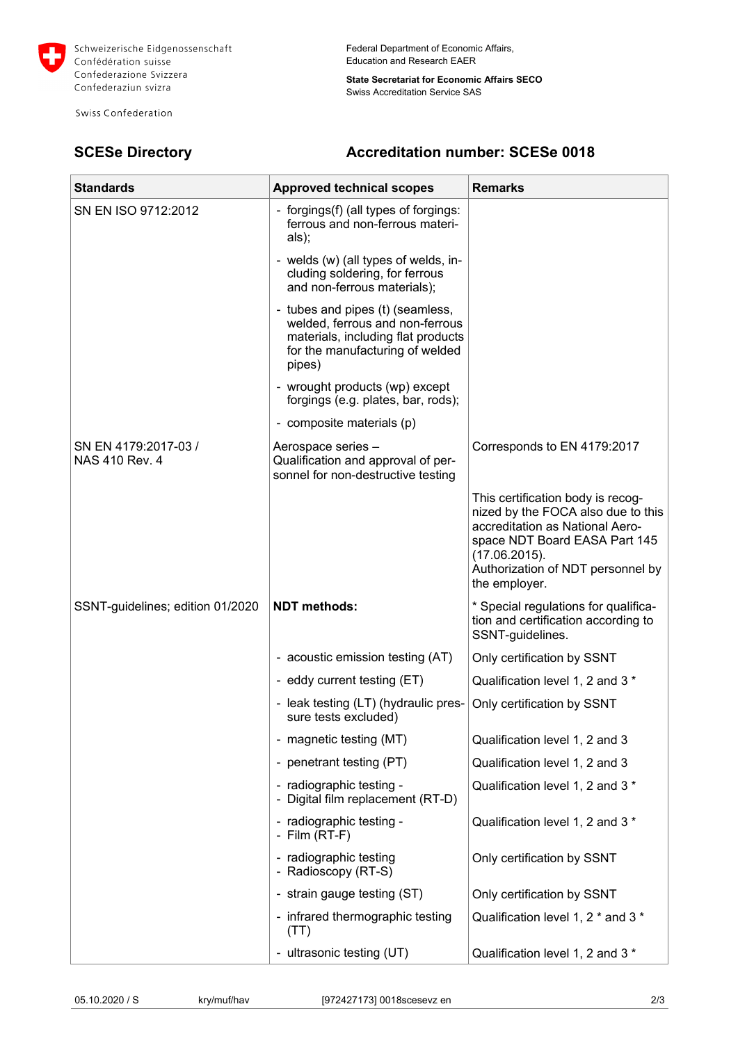

Schweizerische Eidgenossenschaft Confédération suisse Confederazione Svizzera Confederaziun svizra

Swiss Confederation

Federal Department of Economic Affairs, Education and Research EAER

**State Secretariat for Economic Affairs SECO**  Swiss Accreditation Service SAS

# **SCESe Directory Constraining Accreditation number: SCESe 0018**

| <b>Standards</b>                       | <b>Approved technical scopes</b>                                                                                                                       | <b>Remarks</b>                                                                                                                                                                                                     |
|----------------------------------------|--------------------------------------------------------------------------------------------------------------------------------------------------------|--------------------------------------------------------------------------------------------------------------------------------------------------------------------------------------------------------------------|
| SN EN ISO 9712:2012                    | - forgings(f) (all types of forgings:<br>ferrous and non-ferrous materi-<br>als);                                                                      |                                                                                                                                                                                                                    |
|                                        | - welds (w) (all types of welds, in-<br>cluding soldering, for ferrous<br>and non-ferrous materials);                                                  |                                                                                                                                                                                                                    |
|                                        | - tubes and pipes (t) (seamless,<br>welded, ferrous and non-ferrous<br>materials, including flat products<br>for the manufacturing of welded<br>pipes) |                                                                                                                                                                                                                    |
|                                        | - wrought products (wp) except<br>forgings (e.g. plates, bar, rods);                                                                                   |                                                                                                                                                                                                                    |
|                                        | - composite materials (p)                                                                                                                              |                                                                                                                                                                                                                    |
| SN EN 4179:2017-03 /<br>NAS 410 Rev. 4 | Aerospace series -<br>Qualification and approval of per-<br>sonnel for non-destructive testing                                                         | Corresponds to EN 4179:2017                                                                                                                                                                                        |
|                                        |                                                                                                                                                        | This certification body is recog-<br>nized by the FOCA also due to this<br>accreditation as National Aero-<br>space NDT Board EASA Part 145<br>(17.06.2015).<br>Authorization of NDT personnel by<br>the employer. |
| SSNT-guidelines; edition 01/2020       | <b>NDT</b> methods:                                                                                                                                    | * Special regulations for qualifica-<br>tion and certification according to<br>SSNT-guidelines.                                                                                                                    |
|                                        | - acoustic emission testing (AT)                                                                                                                       | Only certification by SSNT                                                                                                                                                                                         |
|                                        | - eddy current testing (ET)                                                                                                                            | Qualification level 1, 2 and 3 *                                                                                                                                                                                   |
|                                        | - leak testing (LT) (hydraulic pres-<br>sure tests excluded)                                                                                           | Only certification by SSNT                                                                                                                                                                                         |
|                                        | - magnetic testing (MT)                                                                                                                                | Qualification level 1, 2 and 3                                                                                                                                                                                     |
|                                        | - penetrant testing (PT)                                                                                                                               | Qualification level 1, 2 and 3                                                                                                                                                                                     |
|                                        | - radiographic testing -<br>- Digital film replacement (RT-D)                                                                                          | Qualification level 1, 2 and 3 *                                                                                                                                                                                   |
|                                        | - radiographic testing -<br>- Film $(RT-F)$                                                                                                            | Qualification level 1, 2 and 3 *                                                                                                                                                                                   |
|                                        | - radiographic testing<br>- Radioscopy (RT-S)                                                                                                          | Only certification by SSNT                                                                                                                                                                                         |
|                                        | - strain gauge testing (ST)                                                                                                                            | Only certification by SSNT                                                                                                                                                                                         |
|                                        | - infrared thermographic testing<br>(TT)                                                                                                               | Qualification level 1, 2 * and 3 *                                                                                                                                                                                 |
|                                        | - ultrasonic testing (UT)                                                                                                                              | Qualification level 1, 2 and 3 *                                                                                                                                                                                   |